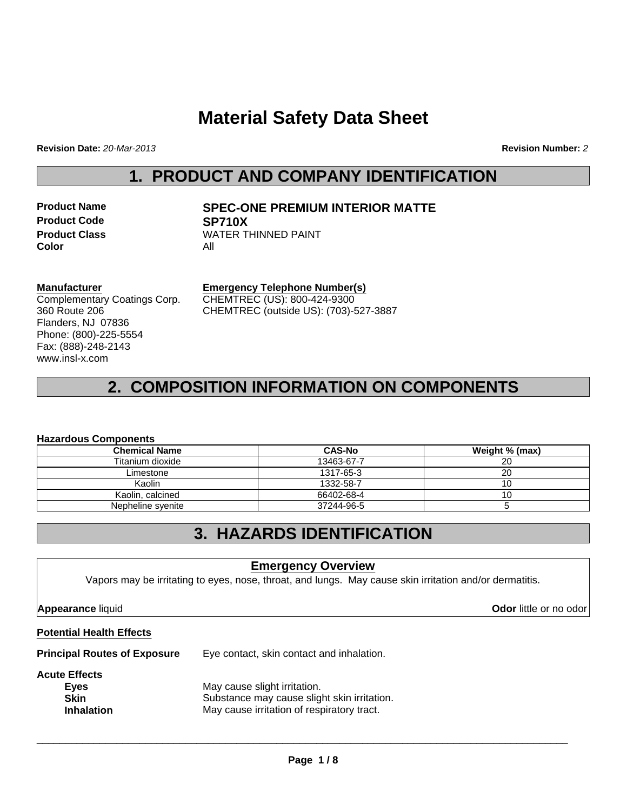# **Material Safety Data Sheet**

**Revision Date:** *20-Mar-2013* **Revision Number:** *2*

### **1. PRODUCT AND COMPANY IDENTIFICATION**

| <b>Product Name</b>  | SI  |
|----------------------|-----|
| <b>Product Code</b>  | SI  |
| <b>Product Class</b> | w,  |
| Color                | Αll |

### **Product Name SPEC-ONE PREMIUM INTERIOR MATTE Product Code SP710X WATER THINNED PAINT**

#### **Manufacturer**

Complementary Coatings Corp. 360 Route 206 Flanders, NJ 07836 Phone: (800)-225-5554 Fax: (888)-248-2143 www.insl-x.com

#### **Emergency Telephone Number(s)** CHEMTREC (US): 800-424-9300 CHEMTREC (outside US): (703)-527-3887

## **2. COMPOSITION INFORMATION ON COMPONENTS**

#### **Hazardous Components**

| <b>Chemical Name</b> | <b>CAS-No</b> | Weight % (max) |
|----------------------|---------------|----------------|
| Titanium dioxide     | 13463-67-7    | 20             |
| Limestone            | 1317-65-3     | 20             |
| Kaolin               | 1332-58-7     | 10             |
| Kaolin, calcined     | 66402-68-4    | 10             |
| Nepheline syenite    | 37244-96-5    |                |

### **3. HAZARDS IDENTIFICATION**

#### **Emergency Overview**

Vapors may be irritating to eyes, nose, throat, and lungs. May cause skin irritation and/or dermatitis.

**Appearance** liquid **Odor** little or no odor

#### **Potential Health Effects**

**Principal Routes of Exposure** Eye contact, skin contact and inhalation.

#### **Acute Effects**

| Eves              | May cause slight irritation.                |
|-------------------|---------------------------------------------|
| <b>Skin</b>       | Substance may cause slight skin irritation. |
| <b>Inhalation</b> | May cause irritation of respiratory tract.  |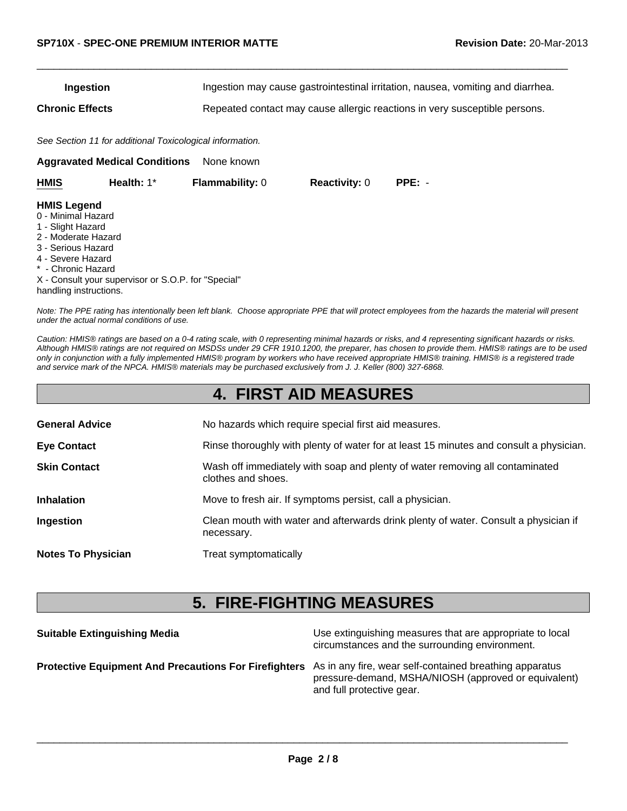| Ingestion       | Ingestion may cause gastrointestinal irritation, nausea, vomiting and diarrhea. |
|-----------------|---------------------------------------------------------------------------------|
| Chronic Effects | Repeated contact may cause allergic reactions in very susceptible persons.      |

 $\Box$ 

*See Section 11 for additional Toxicological information.*

**Aggravated Medical Conditions** None known

| HMIS                                     | Health: $1^*$ | <b>Flammability: 0</b> | <b>Reactivity: 0</b> | $PPE: -$ |
|------------------------------------------|---------------|------------------------|----------------------|----------|
| <b>HMIS Legend</b><br>0 - Minimal Hazard |               |                        |                      |          |
| 1 - Slight Hazard<br>_ _ _ _ _ _ _ _     |               |                        |                      |          |

- 2 Moderate Hazard
- 3 Serious Hazard
- 4 Severe Hazard
- \* Chronic Hazard

X - Consult your supervisor or S.O.P. for "Special" handling instructions.

*Note: The PPE rating has intentionally been left blank. Choose appropriate PPE that will protect employees from the hazards the material will present under the actual normal conditions of use.*

*Caution: HMIS® ratings are based on a 0-4 rating scale, with 0 representing minimal hazards or risks, and 4 representing significant hazards or risks. Although HMIS® ratings are not required on MSDSs under 29 CFR 1910.1200, the preparer, has chosen to provide them. HMIS® ratings are to be used only in conjunction with a fully implemented HMIS® program by workers who have received appropriate HMIS® training. HMIS® is a registered trade and service mark of the NPCA. HMIS® materials may be purchased exclusively from J. J. Keller (800) 327-6868.*

|                           | <b>4. FIRST AID MEASURES</b>                                                                       |
|---------------------------|----------------------------------------------------------------------------------------------------|
| <b>General Advice</b>     | No hazards which require special first aid measures.                                               |
| <b>Eye Contact</b>        | Rinse thoroughly with plenty of water for at least 15 minutes and consult a physician.             |
| <b>Skin Contact</b>       | Wash off immediately with soap and plenty of water removing all contaminated<br>clothes and shoes. |
| <b>Inhalation</b>         | Move to fresh air. If symptoms persist, call a physician.                                          |
| Ingestion                 | Clean mouth with water and afterwards drink plenty of water. Consult a physician if<br>necessary.  |
| <b>Notes To Physician</b> | Treat symptomatically                                                                              |
|                           |                                                                                                    |

## **5. FIRE-FIGHTING MEASURES**

| <b>Suitable Extinguishing Media</b>                                                                                  | Use extinguishing measures that are appropriate to local<br>circumstances and the surrounding environment. |
|----------------------------------------------------------------------------------------------------------------------|------------------------------------------------------------------------------------------------------------|
| <b>Protective Equipment And Precautions For Firefighters</b> As in any fire, wear self-contained breathing apparatus | pressure-demand, MSHA/NIOSH (approved or equivalent)<br>and full protective gear.                          |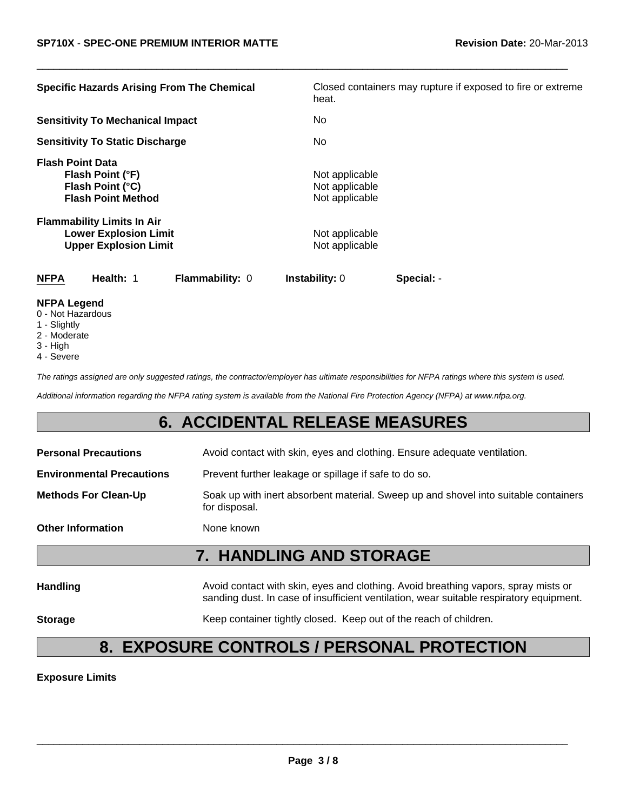| <b>Specific Hazards Arising From The Chemical</b>                                                 | Closed containers may rupture if exposed to fire or extreme<br>heat. |
|---------------------------------------------------------------------------------------------------|----------------------------------------------------------------------|
| <b>Sensitivity To Mechanical Impact</b>                                                           | No.                                                                  |
| <b>Sensitivity To Static Discharge</b>                                                            | No.                                                                  |
| <b>Flash Point Data</b><br>Flash Point (°F)<br>Flash Point (°C)<br><b>Flash Point Method</b>      | Not applicable<br>Not applicable<br>Not applicable                   |
| <b>Flammability Limits In Air</b><br><b>Lower Explosion Limit</b><br><b>Upper Explosion Limit</b> | Not applicable<br>Not applicable                                     |
| <b>NFPA</b><br>Health: 1<br>Flammability: 0                                                       | Special: -<br><b>Instability:</b> 0                                  |
| <b>NFPA Legend</b>                                                                                |                                                                      |

 $\Box$ 

- 0 Not Hazardous
- 1 Slightly
- 2 Moderate
- 3 High
- 4 Severe

*The ratings assigned are only suggested ratings, the contractor/employer has ultimate responsibilities for NFPA ratings where this system is used.*

*Additional information regarding the NFPA rating system is available from the National Fire Protection Agency (NFPA) at www.nfpa.org.*

### **6. ACCIDENTAL RELEASE MEASURES**

| <b>Personal Precautions</b>      | Avoid contact with skin, eyes and clothing. Ensure adequate ventilation.                                                                                                      |
|----------------------------------|-------------------------------------------------------------------------------------------------------------------------------------------------------------------------------|
| <b>Environmental Precautions</b> | Prevent further leakage or spillage if safe to do so.                                                                                                                         |
| <b>Methods For Clean-Up</b>      | Soak up with inert absorbent material. Sweep up and shovel into suitable containers<br>for disposal.                                                                          |
| <b>Other Information</b>         | None known                                                                                                                                                                    |
|                                  | <b>7. HANDLING AND STORAGE</b>                                                                                                                                                |
| <b>Handling</b>                  | Avoid contact with skin, eyes and clothing. Avoid breathing vapors, spray mists or<br>sanding dust. In case of insufficient ventilation, wear suitable respiratory equipment. |

**Storage** Keep container tightly closed. Keep out of the reach of children.

# **8. EXPOSURE CONTROLS / PERSONAL PROTECTION**

**Exposure Limits**

\_\_\_\_\_\_\_\_\_\_\_\_\_\_\_\_\_\_\_\_\_\_\_\_\_\_\_\_\_\_\_\_\_\_\_\_\_\_\_\_\_\_\_\_\_\_\_\_\_\_\_\_\_\_\_\_\_\_\_\_\_\_\_\_\_\_\_\_\_\_\_\_\_\_\_\_\_\_\_\_\_\_\_\_\_\_\_\_\_\_\_\_\_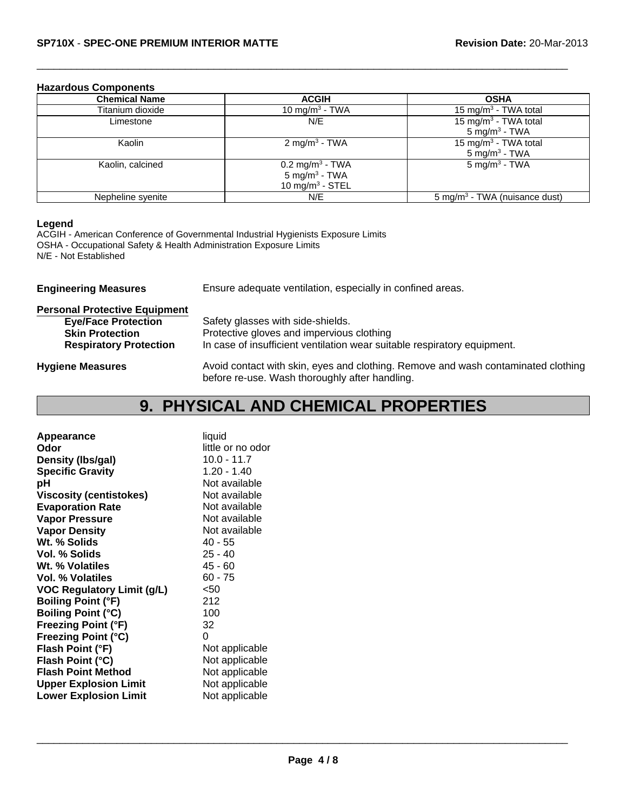#### **Hazardous Components**

| <b>Chemical Name</b> | <b>ACGIH</b>                | <b>OSHA</b>                               |
|----------------------|-----------------------------|-------------------------------------------|
| Titanium dioxide     | 10 mg/m <sup>3</sup> - TWA  | 15 mg/m <sup>3</sup> - TWA total          |
| Limestone            | N/E                         | 15 mg/m <sup>3</sup> - TWA total          |
|                      |                             | $5 \text{ mg/m}^3$ - TWA                  |
| Kaolin               | 2 mg/m <sup>3</sup> - TWA   | 15 mg/m <sup>3</sup> - TWA total          |
|                      |                             | 5 mg/m <sup>3</sup> - TWA                 |
| Kaolin, calcined     | $0.2 \text{ mg/m}^3$ - TWA  | $5 \text{ mg/m}^3$ - TWA                  |
|                      | $5$ mg/m <sup>3</sup> - TWA |                                           |
|                      | 10 mg/m <sup>3</sup> - STEL |                                           |
| Nepheline syenite    | N/E                         | 5 mg/m <sup>3</sup> - TWA (nuisance dust) |

 $\Box$ 

#### **Legend**

ACGIH - American Conference of Governmental Industrial Hygienists Exposure Limits OSHA - Occupational Safety & Health Administration Exposure Limits N/E - Not Established

| <b>Engineering Measures</b>          | Ensure adequate ventilation, especially in confined areas.                                                                          |  |
|--------------------------------------|-------------------------------------------------------------------------------------------------------------------------------------|--|
| <b>Personal Protective Equipment</b> |                                                                                                                                     |  |
| <b>Eye/Face Protection</b>           | Safety glasses with side-shields.                                                                                                   |  |
| <b>Skin Protection</b>               | Protective gloves and impervious clothing                                                                                           |  |
| <b>Respiratory Protection</b>        | In case of insufficient ventilation wear suitable respiratory equipment.                                                            |  |
| <b>Hygiene Measures</b>              | Avoid contact with skin, eyes and clothing. Remove and wash contaminated clothing<br>before re-use. Wash thoroughly after handling. |  |

# **9. PHYSICAL AND CHEMICAL PROPERTIES**

| Appearance                        | liquid            |
|-----------------------------------|-------------------|
| Odor                              | little or no odor |
| Density (Ibs/gal)                 | $10.0 - 11.7$     |
| <b>Specific Gravity</b>           | $1.20 - 1.40$     |
| рH                                | Not available     |
| <b>Viscosity (centistokes)</b>    | Not available     |
| <b>Evaporation Rate</b>           | Not available     |
| <b>Vapor Pressure</b>             | Not available     |
| <b>Vapor Density</b>              | Not available     |
| Wt. % Solids                      | 40 - 55           |
| Vol. % Solids                     | $25 - 40$         |
| Wt. % Volatiles                   | $45 - 60$         |
| <b>Vol. % Volatiles</b>           | $60 - 75$         |
| <b>VOC Regulatory Limit (g/L)</b> | <50               |
| <b>Boiling Point (°F)</b>         | 212               |
| <b>Boiling Point (°C)</b>         | 100               |
| <b>Freezing Point (°F)</b>        | 32                |
| <b>Freezing Point (°C)</b>        | 0                 |
| Flash Point (°F)                  | Not applicable    |
| Flash Point (°C)                  | Not applicable    |
| <b>Flash Point Method</b>         | Not applicable    |
| <b>Upper Explosion Limit</b>      | Not applicable    |
| <b>Lower Explosion Limit</b>      | Not applicable    |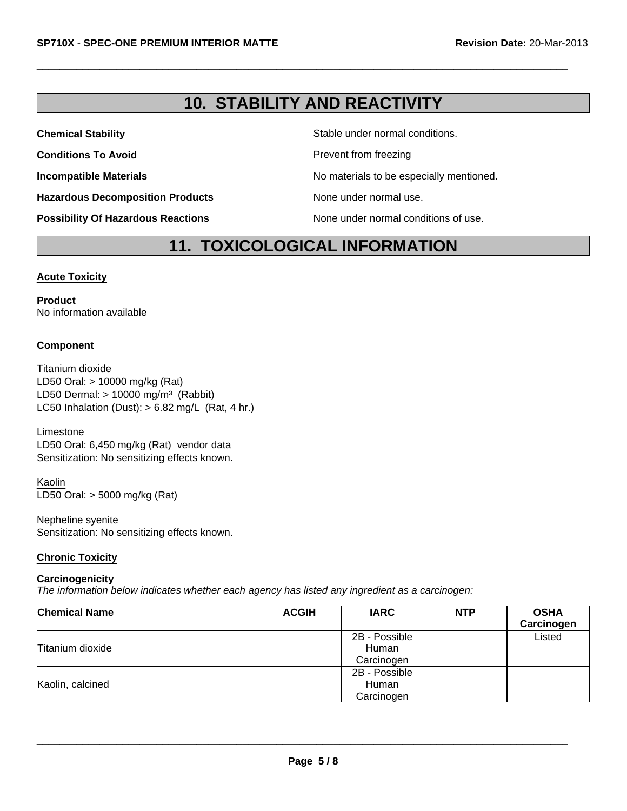### **10. STABILITY AND REACTIVITY**

 $\Box$ 

**Hazardous Decomposition Products** None under normal use.

**Chemical Stability Stability** Stable under normal conditions.

**Conditions To Avoid Prevent from freezing** 

**Incompatible Materials No materials** No materials to be especially mentioned.

**Possibility Of Hazardous Reactions** None under normal conditions of use.

### **11. TOXICOLOGICAL INFORMATION**

#### **Acute Toxicity**

**Product** No information available

#### **Component**

LD50 Dermal:  $> 10000$  mg/m<sup>3</sup> (Rabbit) Titanium dioxide LC50 Inhalation (Dust):  $> 6.82$  mg/L (Rat, 4 hr.) LD50 Oral: > 10000 mg/kg (Rat)

Limestone LD50 Oral: 6,450 mg/kg (Rat) vendor data Sensitization: No sensitizing effects known.

Kaolin LD50 Oral: > 5000 mg/kg (Rat)

Nepheline syenite Sensitization: No sensitizing effects known.

#### **Chronic Toxicity**

#### **Carcinogenicity**

*The information below indicates whether each agency has listed any ingredient as a carcinogen:*

| <b>Chemical Name</b> | <b>ACGIH</b> | <b>IARC</b>   | <b>NTP</b> | <b>OSHA</b><br>Carcinogen |
|----------------------|--------------|---------------|------------|---------------------------|
|                      |              | 2B - Possible |            | Listed                    |
| Titanium dioxide     |              | Human         |            |                           |
|                      |              | Carcinogen    |            |                           |
| Kaolin, calcined     |              | 2B - Possible |            |                           |
|                      |              | Human         |            |                           |
|                      |              | Carcinogen    |            |                           |

\_\_\_\_\_\_\_\_\_\_\_\_\_\_\_\_\_\_\_\_\_\_\_\_\_\_\_\_\_\_\_\_\_\_\_\_\_\_\_\_\_\_\_\_\_\_\_\_\_\_\_\_\_\_\_\_\_\_\_\_\_\_\_\_\_\_\_\_\_\_\_\_\_\_\_\_\_\_\_\_\_\_\_\_\_\_\_\_\_\_\_\_\_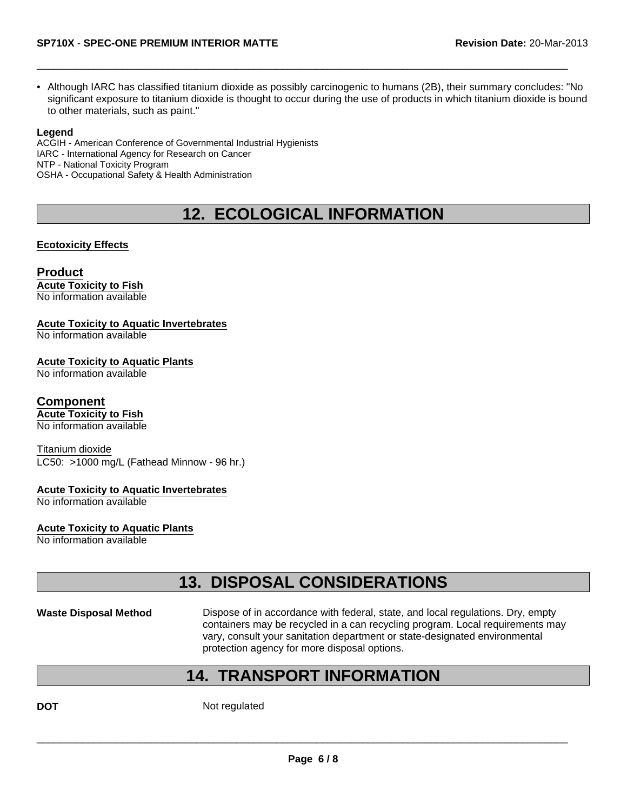• Although IARC has classified titanium dioxide as possibly carcinogenic to humans (2B), their summary concludes: "No significant exposure to titanium dioxide is thought to occur during the use of products in which titanium dioxide is bound to other materials, such as paint."

 $\Box$ 

#### **Legend**

ACGIH - American Conference of Governmental Industrial Hygienists IARC - International Agency for Research on Cancer NTP - National Toxicity Program OSHA - Occupational Safety & Health Administration

## **12. ECOLOGICAL INFORMATION**

#### **Ecotoxicity Effects**

### **Product**

**Acute Toxicity to Fish** No information available

#### **Acute Toxicity to Aquatic Invertebrates**

No information available

**Acute Toxicity to Aquatic Plants**

No information available

#### **Component**

**Acute Toxicity to Fish** No information available

Titanium dioxide LC50: >1000 mg/L (Fathead Minnow - 96 hr.)

#### **Acute Toxicity to Aquatic Invertebrates**

No information available

#### **Acute Toxicity to Aquatic Plants**

No information available

### **13. DISPOSAL CONSIDERATIONS**

Waste Disposal Method Dispose of in accordance with federal, state, and local regulations. Dry, empty containers may be recycled in a can recycling program. Local requirements may vary, consult your sanitation department or state-designated environmental protection agency for more disposal options.

### **14. TRANSPORT INFORMATION**

**DOT** Not regulated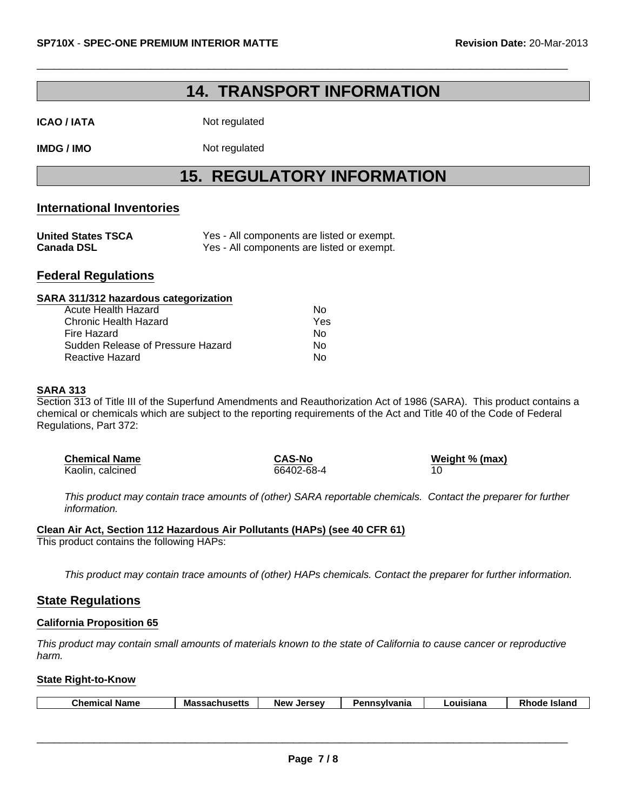### **14. TRANSPORT INFORMATION**

 $\Box$ 

**ICAO / IATA** Not regulated

**IMDG / IMO** Not regulated

# **15. REGULATORY INFORMATION**

#### **International Inventories**

| <b>United States TSCA</b> | Yes - All components are listed or exempt. |
|---------------------------|--------------------------------------------|
| <b>Canada DSL</b>         | Yes - All components are listed or exempt. |

### **Federal Regulations**

#### **SARA 311/312 hazardous categorization**

| Acute Health Hazard               | N٥  |
|-----------------------------------|-----|
| Chronic Health Hazard             | Yes |
| Fire Hazard                       | N٥  |
| Sudden Release of Pressure Hazard | N٥  |
| Reactive Hazard                   | N٥  |

#### **SARA 313**

Section 313 of Title III of the Superfund Amendments and Reauthorization Act of 1986 (SARA). This product contains a chemical or chemicals which are subject to the reporting requirements of the Act and Title 40 of the Code of Federal Regulations, Part 372:

| <b>Chemical Name</b> | <b>CAS-No</b> | Weight % (max) |
|----------------------|---------------|----------------|
| Kaolin, calcined     | 66402-68-4    |                |

*This product may contain trace amounts of (other) SARA reportable chemicals. Contact the preparer for further information.*

#### **Clean Air Act, Section 112 Hazardous Air Pollutants (HAPs) (see 40 CFR 61)** This product contains the following HAPs:

*This product may contain trace amounts of (other) HAPs chemicals. Contact the preparer for further information.*

#### **State Regulations**

#### **California Proposition 65**

*This product may contain small amounts of materials known to the state of California to cause cancer or reproductive harm.*

#### **State Right-to-Know**

| <b>Chemical Name</b> | <b>Massachusetts</b> | Jersev<br><b>New</b> | Pennsylvania | ∟ouisiana | Rhode<br><b>Island</b> |
|----------------------|----------------------|----------------------|--------------|-----------|------------------------|
|                      |                      |                      |              |           |                        |